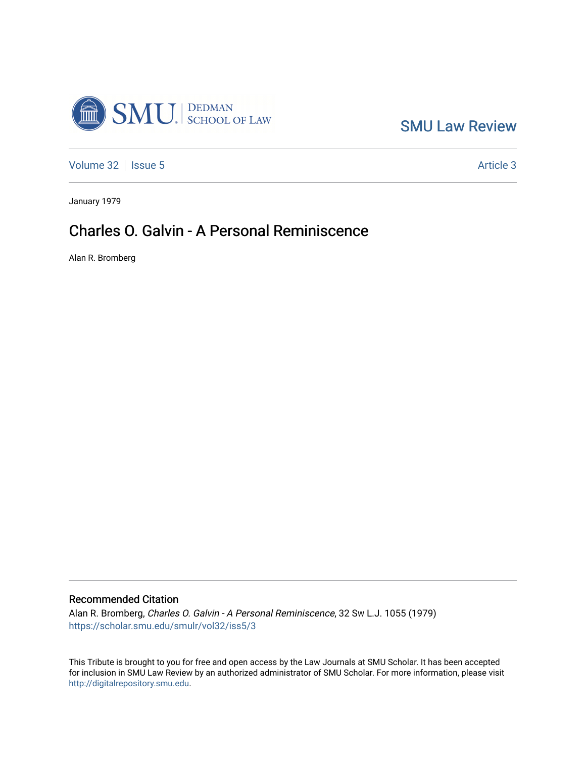

[SMU Law Review](https://scholar.smu.edu/smulr) 

[Volume 32](https://scholar.smu.edu/smulr/vol32) | [Issue 5](https://scholar.smu.edu/smulr/vol32/iss5) Article 3

January 1979

## Charles O. Galvin - A Personal Reminiscence

Alan R. Bromberg

## Recommended Citation

Alan R. Bromberg, Charles O. Galvin - A Personal Reminiscence, 32 SW L.J. 1055 (1979) [https://scholar.smu.edu/smulr/vol32/iss5/3](https://scholar.smu.edu/smulr/vol32/iss5/3?utm_source=scholar.smu.edu%2Fsmulr%2Fvol32%2Fiss5%2F3&utm_medium=PDF&utm_campaign=PDFCoverPages) 

This Tribute is brought to you for free and open access by the Law Journals at SMU Scholar. It has been accepted for inclusion in SMU Law Review by an authorized administrator of SMU Scholar. For more information, please visit [http://digitalrepository.smu.edu.](http://digitalrepository.smu.edu/)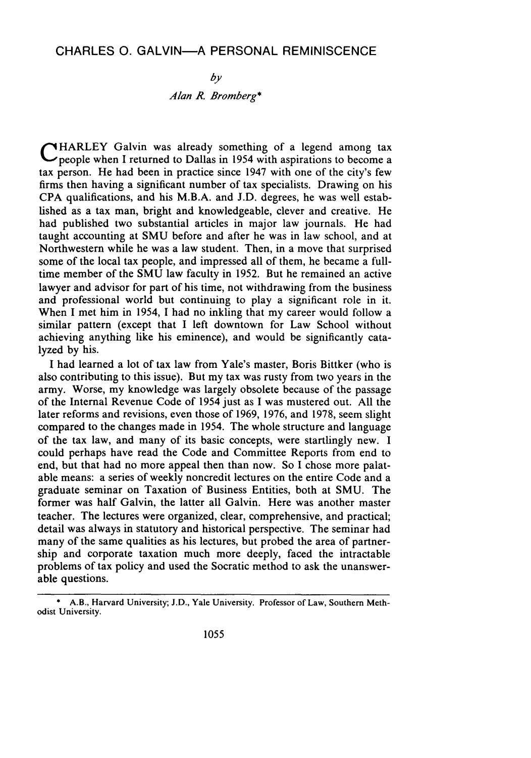## CHARLES **0.** GALVIN-A PERSONAL REMINISCENCE

*by Alan R. Bromberg\**

**THARLEY** Galvin was already something of a legend among tax people when I returned to Dallas in 1954 with aspirations to become a tax person. He had been in practice since 1947 with one of the city's few firms then having a significant number of tax specialists. Drawing on his CPA qualifications, and his M.B.A. and J.D. degrees, he was well established as a tax man, bright and knowledgeable, clever and creative. He had published two substantial articles in major law journals. He had taught accounting at SMU before and after he was in law school, and at Northwestern while he was a law student. Then, in a move that surprised some of the local tax people, and impressed all of them, he became a fulltime member of the SMU law faculty in 1952. But he remained an active lawyer and advisor for part of his time, not withdrawing from the business and professional world but continuing to play a significant role in it. When I met him in 1954, I had no inkling that my career would follow a similar pattern (except that I left downtown for Law School without achieving anything like his eminence), and would be significantly catalyzed by his.

I had learned a lot of tax law from Yale's master, Boris Bittker (who is also contributing to this issue). But my tax was rusty from two years in the army. Worse, my knowledge was largely obsolete because of the passage of the Internal Revenue Code of 1954 just as I was mustered out. All the later reforms and revisions, even those of 1969, 1976, and 1978, seem slight compared to the changes made in 1954. The whole structure and language of the tax law, and many of its basic concepts, were startlingly new. I could perhaps have read the Code and Committee Reports from end to end, but that had no more appeal then than now. So I chose more palatable means: a series of weekly noncredit lectures on the entire Code and a graduate seminar on Taxation of Business Entities, both at SMU. The former was half Galvin, the latter all Galvin. Here was another master teacher. The lectures were organized, clear, comprehensive, and practical; detail was always in statutory and historical perspective. The seminar had many of the same qualities as his lectures, but probed the area of partnership and corporate taxation much more deeply, faced the intractable problems of tax policy and used the Socratic method to ask the unanswerable questions.

<sup>\*</sup> A.B., Harvard University; **J.D.,** Yale University. Professor of Law, Southern Methodist University.